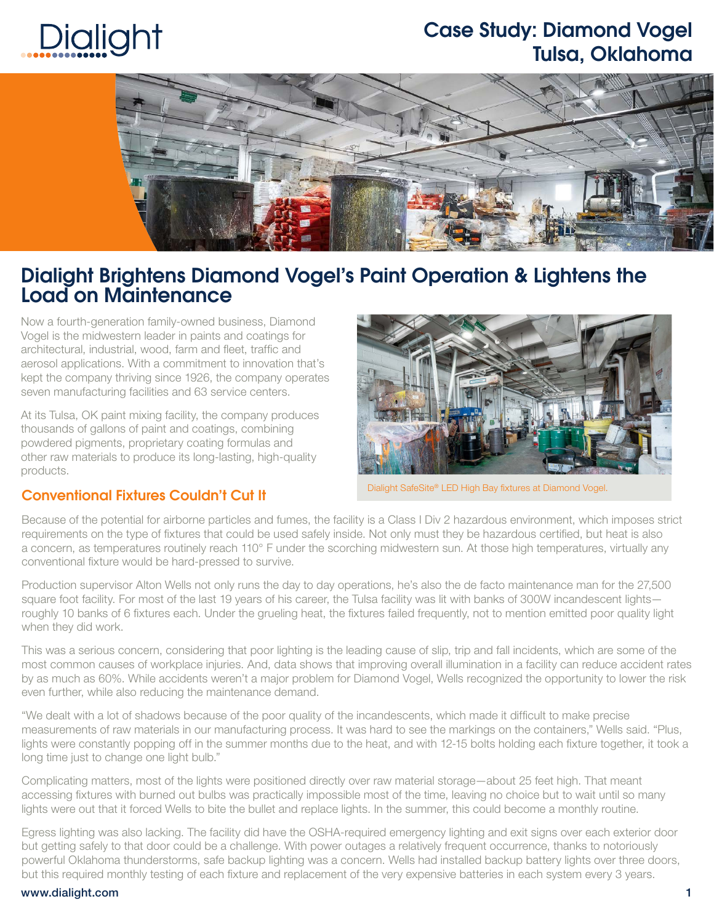# Dialight

### Case Study: Diamond Vogel Tulsa, Oklahoma



### Dialight Brightens Diamond Vogel's Paint Operation & Lightens the Load on Maintenance

Now a fourth-generation family-owned business, Diamond Vogel is the midwestern leader in paints and coatings for architectural, industrial, wood, farm and fleet, traffic and aerosol applications. With a commitment to innovation that's kept the company thriving since 1926, the company operates seven manufacturing facilities and 63 service centers.

At its Tulsa, OK paint mixing facility, the company produces thousands of gallons of paint and coatings, combining powdered pigments, proprietary coating formulas and other raw materials to produce its long-lasting, high-quality products.



Dialight SafeSite® LED High Bay fixtures at Diamond Vogel.

#### Conventional Fixtures Couldn't Cut It

Because of the potential for airborne particles and fumes, the facility is a Class I Div 2 hazardous environment, which imposes strict requirements on the type of fixtures that could be used safely inside. Not only must they be hazardous certified, but heat is also a concern, as temperatures routinely reach 110° F under the scorching midwestern sun. At those high temperatures, virtually any conventional fixture would be hard-pressed to survive.

Production supervisor Alton Wells not only runs the day to day operations, he's also the de facto maintenance man for the 27,500 square foot facility. For most of the last 19 years of his career, the Tulsa facility was lit with banks of 300W incandescent lights roughly 10 banks of 6 fixtures each. Under the grueling heat, the fixtures failed frequently, not to mention emitted poor quality light when they did work.

This was a serious concern, considering that poor lighting is the leading cause of slip, trip and fall incidents, which are some of the most common causes of workplace injuries. And, data shows that improving overall illumination in a facility can reduce accident rates by as much as 60%. While accidents weren't a major problem for Diamond Vogel, Wells recognized the opportunity to lower the risk even further, while also reducing the maintenance demand.

"We dealt with a lot of shadows because of the poor quality of the incandescents, which made it difficult to make precise measurements of raw materials in our manufacturing process. It was hard to see the markings on the containers," Wells said. "Plus, lights were constantly popping off in the summer months due to the heat, and with 12-15 bolts holding each fixture together, it took a long time just to change one light bulb."

Complicating matters, most of the lights were positioned directly over raw material storage—about 25 feet high. That meant accessing fixtures with burned out bulbs was practically impossible most of the time, leaving no choice but to wait until so many lights were out that it forced Wells to bite the bullet and replace lights. In the summer, this could become a monthly routine.

Egress lighting was also lacking. The facility did have the OSHA-required emergency lighting and exit signs over each exterior door but getting safely to that door could be a challenge. With power outages a relatively frequent occurrence, thanks to notoriously powerful Oklahoma thunderstorms, safe backup lighting was a concern. Wells had installed backup battery lights over three doors, but this required monthly testing of each fixture and replacement of the very expensive batteries in each system every 3 years.

#### www.dialight.com 1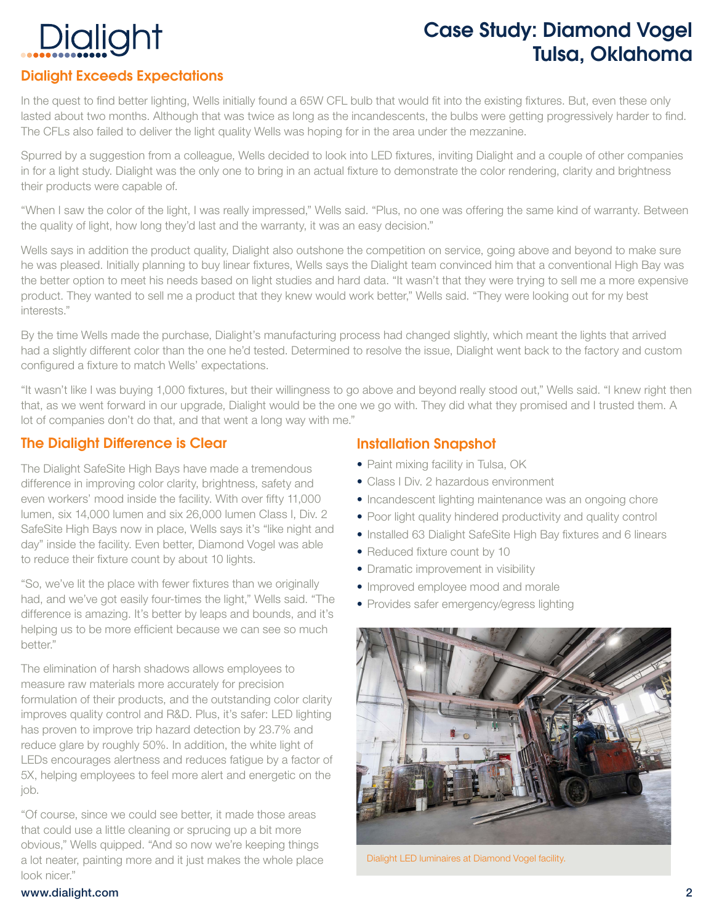# Dialight

## Case Study: Diamond Vogel Tulsa, Oklahoma

### Dialight Exceeds Expectations

In the quest to find better lighting, Wells initially found a 65W CFL bulb that would fit into the existing fixtures. But, even these only lasted about two months. Although that was twice as long as the incandescents, the bulbs were getting progressively harder to find. The CFLs also failed to deliver the light quality Wells was hoping for in the area under the mezzanine.

Spurred by a suggestion from a colleague, Wells decided to look into LED fixtures, inviting Dialight and a couple of other companies in for a light study. Dialight was the only one to bring in an actual fixture to demonstrate the color rendering, clarity and brightness their products were capable of.

"When I saw the color of the light, I was really impressed," Wells said. "Plus, no one was offering the same kind of warranty. Between the quality of light, how long they'd last and the warranty, it was an easy decision."

Wells says in addition the product quality, Dialight also outshone the competition on service, going above and beyond to make sure he was pleased. Initially planning to buy linear fixtures, Wells says the Dialight team convinced him that a conventional High Bay was the better option to meet his needs based on light studies and hard data. "It wasn't that they were trying to sell me a more expensive product. They wanted to sell me a product that they knew would work better," Wells said. "They were looking out for my best interests."

By the time Wells made the purchase, Dialight's manufacturing process had changed slightly, which meant the lights that arrived had a slightly different color than the one he'd tested. Determined to resolve the issue, Dialight went back to the factory and custom configured a fixture to match Wells' expectations.

"It wasn't like I was buying 1,000 fixtures, but their willingness to go above and beyond really stood out," Wells said. "I knew right then that, as we went forward in our upgrade, Dialight would be the one we go with. They did what they promised and I trusted them. A lot of companies don't do that, and that went a long way with me."

#### The Dialight Difference is Clear

The Dialight SafeSite High Bays have made a tremendous difference in improving color clarity, brightness, safety and even workers' mood inside the facility. With over fifty 11,000 lumen, six 14,000 lumen and six 26,000 lumen CIass I, Div. 2 SafeSite High Bays now in place, Wells says it's "like night and day" inside the facility. Even better, Diamond Vogel was able to reduce their fixture count by about 10 lights.

"So, we've lit the place with fewer fixtures than we originally had, and we've got easily four-times the light," Wells said. "The difference is amazing. It's better by leaps and bounds, and it's helping us to be more efficient because we can see so much better."

The elimination of harsh shadows allows employees to measure raw materials more accurately for precision formulation of their products, and the outstanding color clarity improves quality control and R&D. Plus, it's safer: LED lighting has proven to improve trip hazard detection by 23.7% and reduce glare by roughly 50%. In addition, the white light of LEDs encourages alertness and reduces fatigue by a factor of 5X, helping employees to feel more alert and energetic on the job.

"Of course, since we could see better, it made those areas that could use a little cleaning or sprucing up a bit more obvious," Wells quipped. "And so now we're keeping things a lot neater, painting more and it just makes the whole place look nicer."

#### Installation Snapshot

- Paint mixing facility in Tulsa, OK
- Class I Div. 2 hazardous environment
- Incandescent lighting maintenance was an ongoing chore
- Poor light quality hindered productivity and quality control
- Installed 63 Dialight SafeSite High Bay fixtures and 6 linears
- Reduced fixture count by 10
- Dramatic improvement in visibility
- Improved employee mood and morale
- Provides safer emergency/egress lighting



Dialight LED luminaires at Diamond Vogel facility.